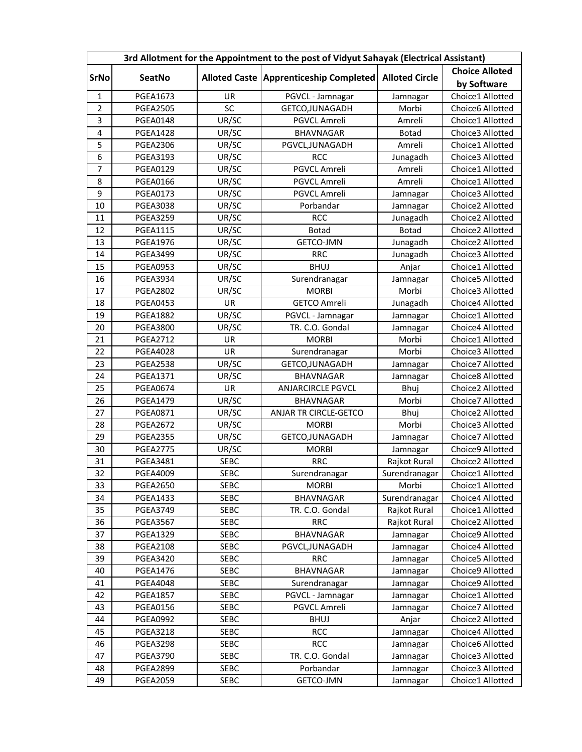| 3rd Allotment for the Appointment to the post of Vidyut Sahayak (Electrical Assistant) |                 |             |                                                           |               |                       |  |  |  |
|----------------------------------------------------------------------------------------|-----------------|-------------|-----------------------------------------------------------|---------------|-----------------------|--|--|--|
| <b>SrNo</b>                                                                            | SeatNo          |             | Alloted Caste   Apprenticeship Completed   Alloted Circle |               | <b>Choice Alloted</b> |  |  |  |
|                                                                                        |                 |             |                                                           |               | by Software           |  |  |  |
| $\mathbf{1}$                                                                           | PGEA1673        | <b>UR</b>   | PGVCL - Jamnagar                                          | Jamnagar      | Choice1 Allotted      |  |  |  |
| $\overline{2}$                                                                         | <b>PGEA2505</b> | SC          | GETCO, JUNAGADH                                           | Morbi         | Choice6 Allotted      |  |  |  |
| $\overline{\mathbf{3}}$                                                                | <b>PGEA0148</b> | UR/SC       | PGVCL Amreli                                              | Amreli        | Choice1 Allotted      |  |  |  |
| $\overline{\mathbf{4}}$                                                                | <b>PGEA1428</b> | UR/SC       | <b>BHAVNAGAR</b>                                          | <b>Botad</b>  | Choice3 Allotted      |  |  |  |
| 5                                                                                      | <b>PGEA2306</b> | UR/SC       | PGVCL, JUNAGADH                                           | Amreli        | Choice1 Allotted      |  |  |  |
| 6                                                                                      | <b>PGEA3193</b> | UR/SC       | <b>RCC</b>                                                | Junagadh      | Choice3 Allotted      |  |  |  |
| $\overline{7}$                                                                         | <b>PGEA0129</b> | UR/SC       | PGVCL Amreli                                              | Amreli        | Choice1 Allotted      |  |  |  |
| 8                                                                                      | <b>PGEA0166</b> | UR/SC       | PGVCL Amreli                                              | Amreli        | Choice1 Allotted      |  |  |  |
| 9                                                                                      | <b>PGEA0173</b> | UR/SC       | PGVCL Amreli                                              | Jamnagar      | Choice3 Allotted      |  |  |  |
| 10                                                                                     | <b>PGEA3038</b> | UR/SC       | Porbandar                                                 | Jamnagar      | Choice2 Allotted      |  |  |  |
| 11                                                                                     | <b>PGEA3259</b> | UR/SC       | <b>RCC</b>                                                | Junagadh      | Choice2 Allotted      |  |  |  |
| 12                                                                                     | <b>PGEA1115</b> | UR/SC       | <b>Botad</b>                                              | <b>Botad</b>  | Choice2 Allotted      |  |  |  |
| 13                                                                                     | <b>PGEA1976</b> | UR/SC       | GETCO-JMN                                                 | Junagadh      | Choice2 Allotted      |  |  |  |
| 14                                                                                     | <b>PGEA3499</b> | UR/SC       | <b>RRC</b>                                                | Junagadh      | Choice3 Allotted      |  |  |  |
| 15                                                                                     | <b>PGEA0953</b> | UR/SC       | <b>BHUJ</b>                                               | Anjar         | Choice1 Allotted      |  |  |  |
| 16                                                                                     | <b>PGEA3934</b> | UR/SC       | Surendranagar                                             | Jamnagar      | Choice5 Allotted      |  |  |  |
| 17                                                                                     | <b>PGEA2802</b> | UR/SC       | <b>MORBI</b>                                              | Morbi         | Choice3 Allotted      |  |  |  |
| 18                                                                                     | <b>PGEA0453</b> | UR          | <b>GETCO Amreli</b>                                       | Junagadh      | Choice4 Allotted      |  |  |  |
| 19                                                                                     | <b>PGEA1882</b> | UR/SC       | PGVCL - Jamnagar                                          | Jamnagar      | Choice1 Allotted      |  |  |  |
| 20                                                                                     | <b>PGEA3800</b> | UR/SC       | TR. C.O. Gondal                                           | Jamnagar      | Choice4 Allotted      |  |  |  |
| 21                                                                                     | <b>PGEA2712</b> | UR          | <b>MORBI</b>                                              | Morbi         | Choice1 Allotted      |  |  |  |
| 22                                                                                     | <b>PGEA4028</b> | UR          | Surendranagar                                             | Morbi         | Choice3 Allotted      |  |  |  |
| 23                                                                                     | <b>PGEA2538</b> | UR/SC       | GETCO, JUNAGADH                                           | Jamnagar      | Choice7 Allotted      |  |  |  |
| 24                                                                                     | <b>PGEA1371</b> | UR/SC       | <b>BHAVNAGAR</b>                                          | Jamnagar      | Choice8 Allotted      |  |  |  |
| 25                                                                                     | <b>PGEA0674</b> | UR          | <b>ANJARCIRCLE PGVCL</b>                                  | Bhuj          | Choice2 Allotted      |  |  |  |
| 26                                                                                     | <b>PGEA1479</b> | UR/SC       | <b>BHAVNAGAR</b>                                          | Morbi         | Choice7 Allotted      |  |  |  |
| 27                                                                                     | <b>PGEA0871</b> | UR/SC       | ANJAR TR CIRCLE-GETCO                                     | Bhuj          | Choice2 Allotted      |  |  |  |
| 28                                                                                     | <b>PGEA2672</b> | UR/SC       | <b>MORBI</b>                                              | Morbi         | Choice3 Allotted      |  |  |  |
| 29                                                                                     | <b>PGEA2355</b> | UR/SC       | GETCO, JUNAGADH                                           | Jamnagar      | Choice7 Allotted      |  |  |  |
| 30                                                                                     | <b>PGEA2775</b> | UR/SC       | <b>MORBI</b>                                              | Jamnagar      | Choice9 Allotted      |  |  |  |
| 31                                                                                     | <b>PGEA3481</b> | SEBC        | <b>RRC</b>                                                | Rajkot Rural  | Choice2 Allotted      |  |  |  |
| 32                                                                                     | <b>PGEA4009</b> | <b>SEBC</b> | Surendranagar                                             | Surendranagar | Choice1 Allotted      |  |  |  |
| 33                                                                                     | <b>PGEA2650</b> | <b>SEBC</b> | <b>MORBI</b>                                              | Morbi         | Choice1 Allotted      |  |  |  |
| 34                                                                                     | <b>PGEA1433</b> | <b>SEBC</b> | BHAVNAGAR                                                 | Surendranagar | Choice4 Allotted      |  |  |  |
| 35                                                                                     | <b>PGEA3749</b> | <b>SEBC</b> | TR. C.O. Gondal                                           | Rajkot Rural  | Choice1 Allotted      |  |  |  |
| 36                                                                                     | <b>PGEA3567</b> | <b>SEBC</b> | <b>RRC</b>                                                | Rajkot Rural  | Choice2 Allotted      |  |  |  |
| 37                                                                                     | <b>PGEA1329</b> | <b>SEBC</b> | BHAVNAGAR                                                 | Jamnagar      | Choice9 Allotted      |  |  |  |
| 38                                                                                     | <b>PGEA2108</b> | <b>SEBC</b> | PGVCL, JUNAGADH                                           | Jamnagar      | Choice4 Allotted      |  |  |  |
| 39                                                                                     | <b>PGEA3420</b> | <b>SEBC</b> | <b>RRC</b>                                                | Jamnagar      | Choice5 Allotted      |  |  |  |
| 40                                                                                     | <b>PGEA1476</b> | <b>SEBC</b> | BHAVNAGAR                                                 | Jamnagar      | Choice9 Allotted      |  |  |  |
| 41                                                                                     | <b>PGEA4048</b> | <b>SEBC</b> | Surendranagar                                             | Jamnagar      | Choice9 Allotted      |  |  |  |
| 42                                                                                     | <b>PGEA1857</b> | <b>SEBC</b> | PGVCL - Jamnagar                                          | Jamnagar      | Choice1 Allotted      |  |  |  |
| 43                                                                                     | <b>PGEA0156</b> | <b>SEBC</b> | PGVCL Amreli                                              | Jamnagar      | Choice7 Allotted      |  |  |  |
| 44                                                                                     | <b>PGEA0992</b> | <b>SEBC</b> | <b>BHUJ</b>                                               | Anjar         | Choice2 Allotted      |  |  |  |
| 45                                                                                     | <b>PGEA3218</b> | <b>SEBC</b> | <b>RCC</b>                                                | Jamnagar      | Choice4 Allotted      |  |  |  |
| 46                                                                                     | <b>PGEA3298</b> | <b>SEBC</b> | <b>RCC</b>                                                | Jamnagar      | Choice6 Allotted      |  |  |  |
| 47                                                                                     | <b>PGEA3790</b> | <b>SEBC</b> | TR. C.O. Gondal                                           | Jamnagar      | Choice3 Allotted      |  |  |  |
| 48                                                                                     | <b>PGEA2899</b> | <b>SEBC</b> | Porbandar                                                 | Jamnagar      | Choice3 Allotted      |  |  |  |
| 49                                                                                     | <b>PGEA2059</b> | <b>SEBC</b> | GETCO-JMN                                                 | Jamnagar      | Choice1 Allotted      |  |  |  |